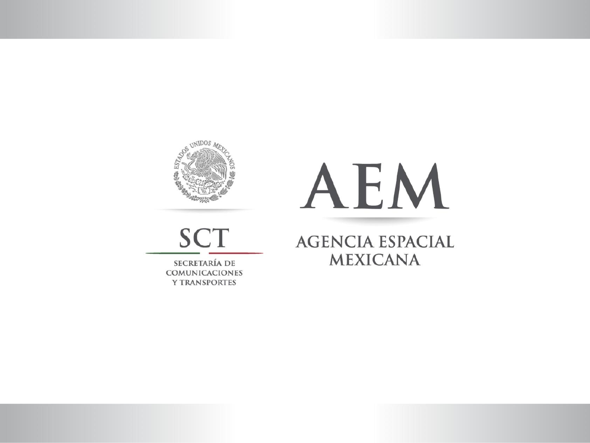

**SCT** 

SECRETARÍA DE COMUNICACIONES **Y TRANSPORTES** 

# AEM

**AGENCIA ESPACIAL MEXICANA**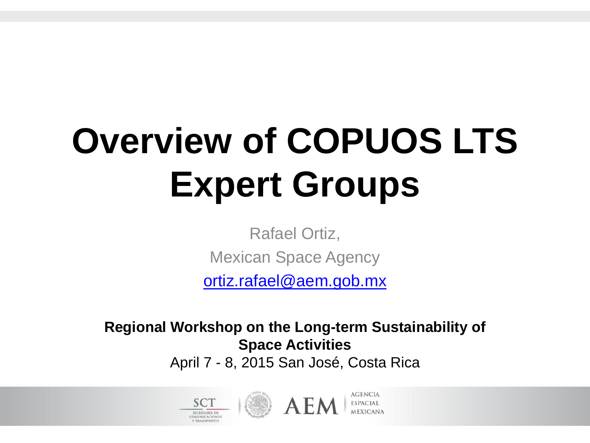#### **Overview of COPUOS LTS Expert Groups**

Rafael Ortiz,

Mexican Space Agency

[ortiz.rafael@aem.gob.mx](mailto:ortiz.rafael@aem.gob.mx)

**Regional Workshop on the Long-term Sustainability of Space Activities**

April 7 - 8, 2015 San José, Costa Rica



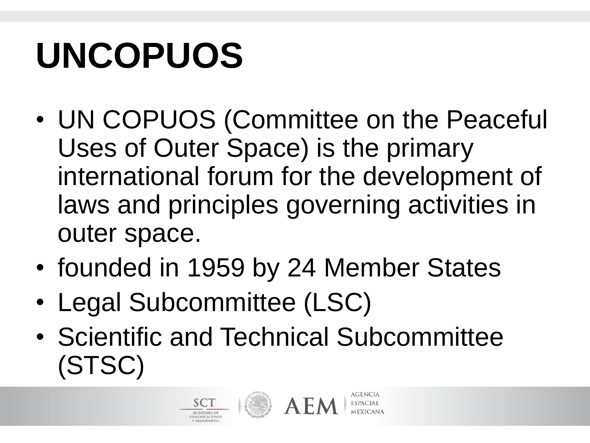#### **UNCOPUOS**

- UN COPUOS (Committee on the Peaceful Uses of Outer Space) is the primary international forum for the development of laws and principles governing activities in outer space.
- founded in 1959 by 24 Member States
- Legal Subcommittee (LSC)
- Scientific and Technical Subcommittee (STSC)



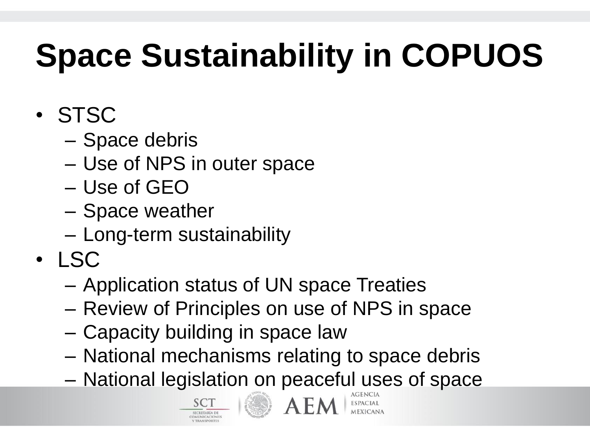#### **Space Sustainability in COPUOS**

- STSC
	- Space debris
	- Use of NPS in outer space
	- Use of GEO
	- Space weather
	- Long-term sustainability
- LSC
	- Application status of UN space Treaties
	- Review of Principles on use of NPS in space
	- Capacity building in space law
	- National mechanisms relating to space debris
	- National legislation on peaceful uses of space



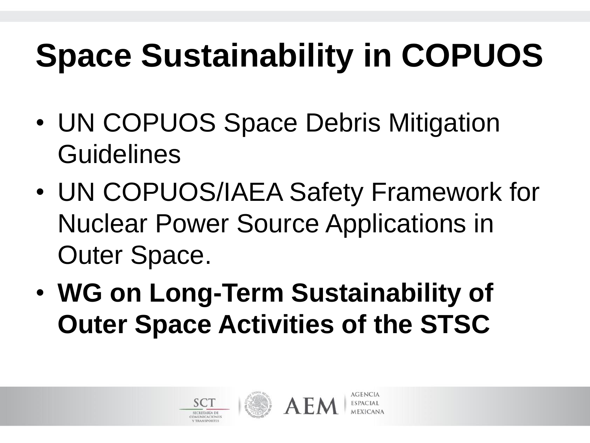#### **Space Sustainability in COPUOS**

- UN COPUOS Space Debris Mitigation **Guidelines**
- UN COPUOS/IAEA Safety Framework for Nuclear Power Source Applications in Outer Space.
- **WG on Long-Term Sustainability of Outer Space Activities of the STSC**



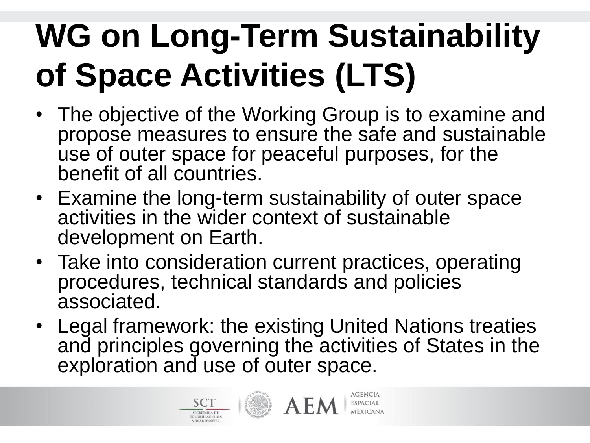#### **WG on Long-Term Sustainability of Space Activities (LTS)**

- The objective of the Working Group is to examine and propose measures to ensure the safe and sustainable use of outer space for peaceful purposes, for the benefit of all countries.
- Examine the long-term sustainability of outer space activities in the wider context of sustainable development on Earth.
- Take into consideration current practices, operating procedures, technical standards and policies associated.
- Legal framework: the existing United Nations treaties and principles governing the activities of States in the exploration and use of outer space.



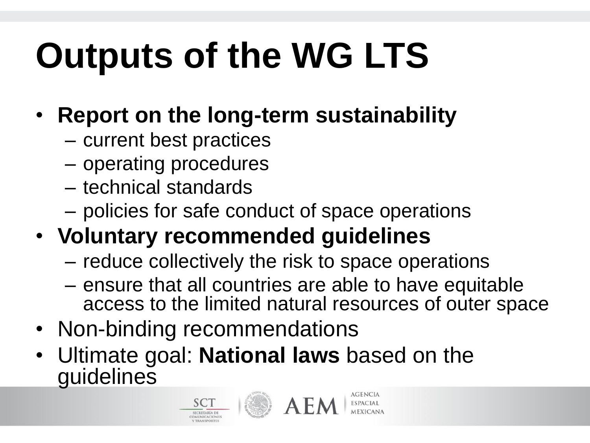### **Outputs of the WG LTS**

- **Report on the long-term sustainability** 
	- current best practices
	- operating procedures
	- technical standards
	- policies for safe conduct of space operations
- **Voluntary recommended guidelines** 
	- reduce collectively the risk to space operations
	- ensure that all countries are able to have equitable access to the limited natural resources of outer space
- Non-binding recommendations
- Ultimate goal: **National laws** based on the guidelines



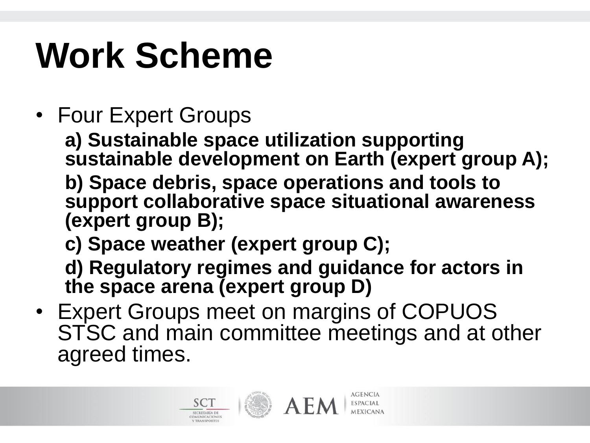#### **Work Scheme**

• Four Expert Groups

**a) Sustainable space utilization supporting sustainable development on Earth (expert group A);**

**b) Space debris, space operations and tools to support collaborative space situational awareness (expert group B);**

**c) Space weather (expert group C);**

**d) Regulatory regimes and guidance for actors in the space arena (expert group D)**

• Expert Groups meet on margins of COPUOS STSC and main committee meetings and at other agreed times.



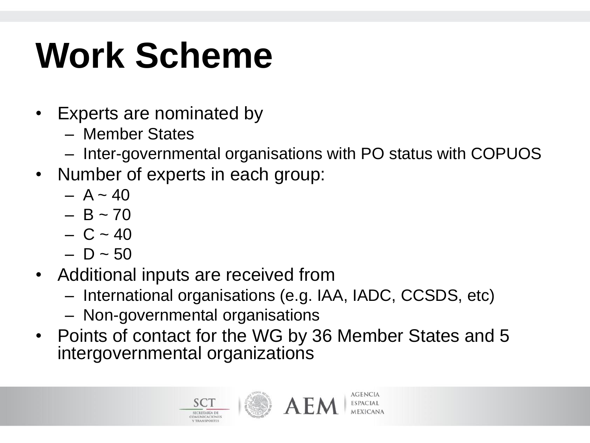#### **Work Scheme**

- Experts are nominated by
	- Member States
	- Inter-governmental organisations with PO status with COPUOS
- Number of experts in each group:
	- $A \sim 40$
	- $B \sim 70$
	- $C \sim 40$
	- $D \sim 50$
- Additional inputs are received from
	- International organisations (e.g. IAA, IADC, CCSDS, etc)
	- Non-governmental organisations
- Points of contact for the WG by 36 Member States and 5 intergovernmental organizations



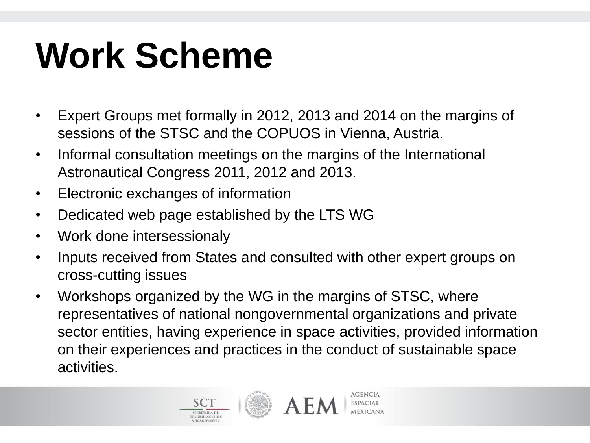#### **Work Scheme**

- Expert Groups met formally in 2012, 2013 and 2014 on the margins of sessions of the STSC and the COPUOS in Vienna, Austria.
- Informal consultation meetings on the margins of the International Astronautical Congress 2011, 2012 and 2013.
- Electronic exchanges of information
- Dedicated web page established by the LTS WG
- Work done intersessionaly
- Inputs received from States and consulted with other expert groups on cross-cutting issues
- Workshops organized by the WG in the margins of STSC, where representatives of national nongovernmental organizations and private sector entities, having experience in space activities, provided information on their experiences and practices in the conduct of sustainable space activities.



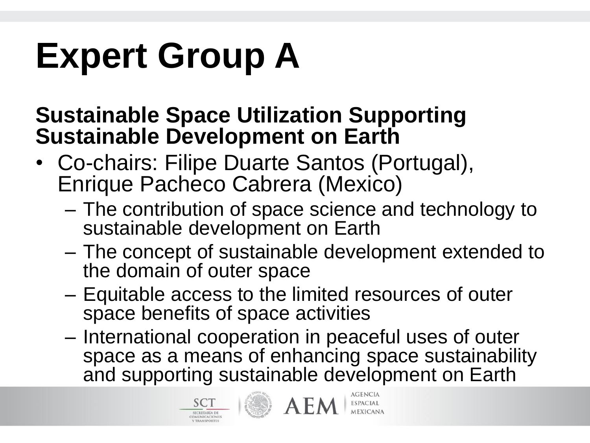#### **Expert Group A**

#### **Sustainable Space Utilization Supporting Sustainable Development on Earth**

- Co-chairs: Filipe Duarte Santos (Portugal), Enrique Pacheco Cabrera (Mexico)
	- The contribution of space science and technology to sustainable development on Earth
	- The concept of sustainable development extended to the domain of outer space
	- Equitable access to the limited resources of outer space benefits of space activities
	- International cooperation in peaceful uses of outer space as a means of enhancing space sustainability and supporting sustainable development on Earth



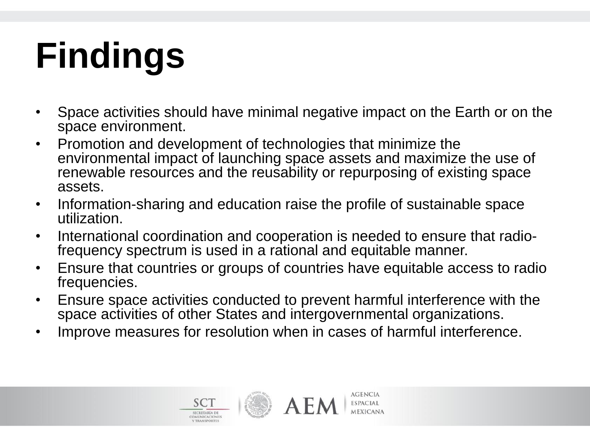- Space activities should have minimal negative impact on the Earth or on the space environment.
- Promotion and development of technologies that minimize the environmental impact of launching space assets and maximize the use of renewable resources and the reusability or repurposing of existing space assets.
- Information-sharing and education raise the profile of sustainable space utilization.
- International coordination and cooperation is needed to ensure that radiofrequency spectrum is used in a rational and equitable manner.
- Ensure that countries or groups of countries have equitable access to radio frequencies.
- Ensure space activities conducted to prevent harmful interference with the space activities of other States and intergovernmental organizations.
- Improve measures for resolution when in cases of harmful interference.





**AGENCIA** 

**ESPACIAL**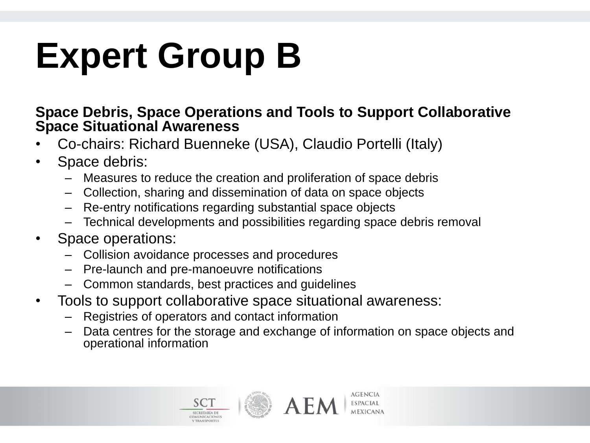#### **Expert Group B**

#### **Space Debris, Space Operations and Tools to Support Collaborative Space Situational Awareness**

- Co-chairs: Richard Buenneke (USA), Claudio Portelli (Italy)
- Space debris:
	- Measures to reduce the creation and proliferation of space debris
	- Collection, sharing and dissemination of data on space objects
	- Re-entry notifications regarding substantial space objects
	- Technical developments and possibilities regarding space debris removal
- Space operations:
	- Collision avoidance processes and procedures
	- Pre-launch and pre-manoeuvre notifications
	- Common standards, best practices and guidelines
- Tools to support collaborative space situational awareness:
	- Registries of operators and contact information
	- Data centres for the storage and exchange of information on space objects and operational information



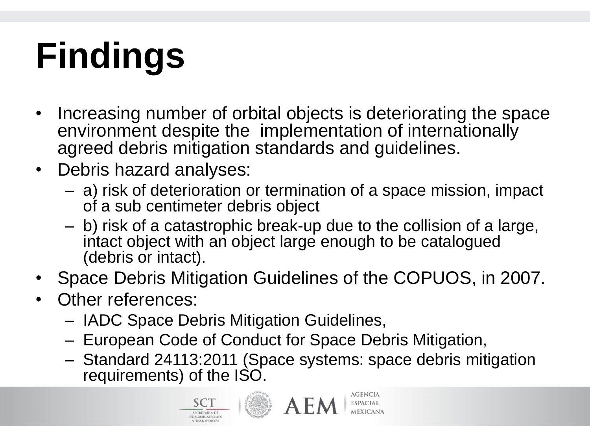- Increasing number of orbital objects is deteriorating the space environment despite the implementation of internationally agreed debris mitigation standards and guidelines.
- Debris hazard analyses:
	- a) risk of deterioration or termination of a space mission, impact of a sub centimeter debris object
	- b) risk of a catastrophic break-up due to the collision of a large, intact object with an object large enough to be catalogued (debris or intact).
- Space Debris Mitigation Guidelines of the COPUOS, in 2007.
- Other references:
	- IADC Space Debris Mitigation Guidelines,
	- European Code of Conduct for Space Debris Mitigation,
	- Standard 24113:2011 (Space systems: space debris mitigation requirements) of the ISO.





**AGENCIA ESPACIAL**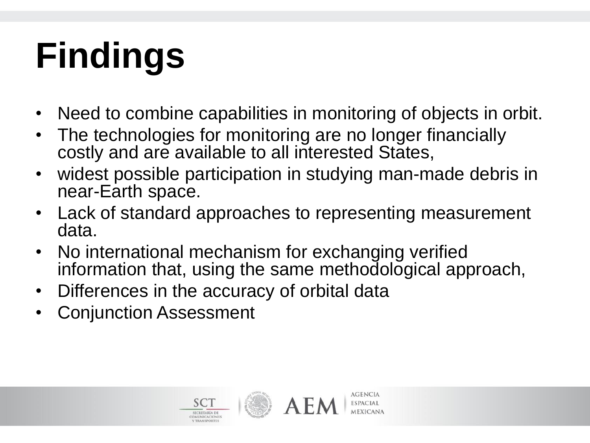- Need to combine capabilities in monitoring of objects in orbit.
- The technologies for monitoring are no longer financially costly and are available to all interested States,
- widest possible participation in studying man-made debris in near-Earth space.
- Lack of standard approaches to representing measurement data.
- No international mechanism for exchanging verified information that, using the same methodological approach,
- Differences in the accuracy of orbital data
- Conjunction Assessment

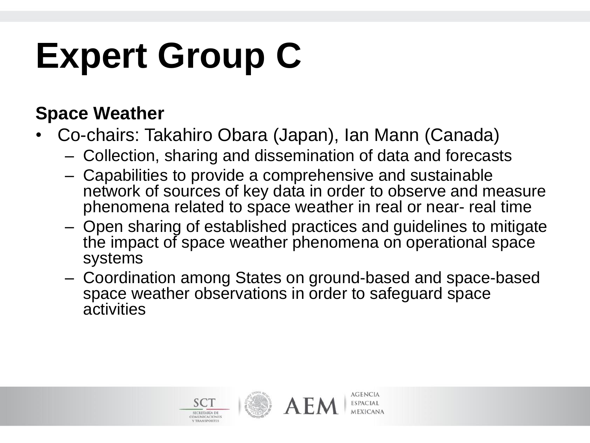#### **Expert Group C**

#### **Space Weather**

- Co-chairs: Takahiro Obara (Japan), Ian Mann (Canada)
	- Collection, sharing and dissemination of data and forecasts
	- Capabilities to provide a comprehensive and sustainable network of sources of key data in order to observe and measure phenomena related to space weather in real or near- real time
	- Open sharing of established practices and guidelines to mitigate the impact of space weather phenomena on operational space systems
	- Coordination among States on ground-based and space-based space weather observations in order to safeguard space activities

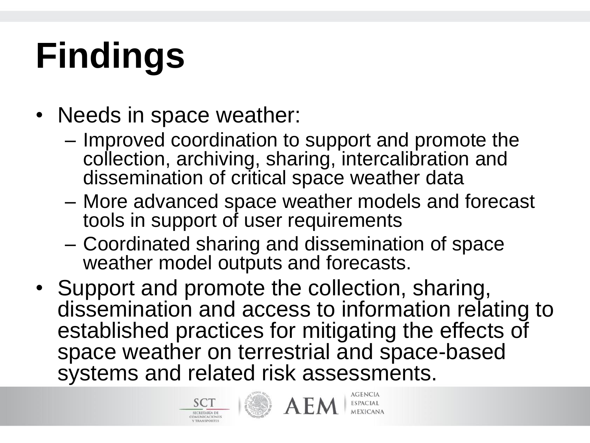- Needs in space weather:
	- Improved coordination to support and promote the collection, archiving, sharing, intercalibration and dissemination of critical space weather data
	- More advanced space weather models and forecast tools in support of user requirements
	- Coordinated sharing and dissemination of space weather model outputs and forecasts.
- Support and promote the collection, sharing, dissemination and access to information relating to established practices for mitigating the effects of space weather on terrestrial and space-based systems and related risk assessments.



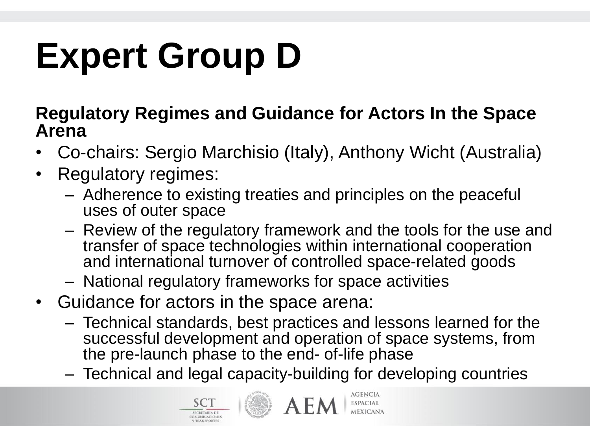### **Expert Group D**

#### **Regulatory Regimes and Guidance for Actors In the Space Arena**

- Co-chairs: Sergio Marchisio (Italy), Anthony Wicht (Australia)
- Regulatory regimes:
	- Adherence to existing treaties and principles on the peaceful uses of outer space
	- Review of the regulatory framework and the tools for the use and transfer of space technologies within international cooperation and international turnover of controlled space-related goods
	- National regulatory frameworks for space activities
- Guidance for actors in the space arena:
	- Technical standards, best practices and lessons learned for the successful development and operation of space systems, from the pre-launch phase to the end- of-life phase
	- Technical and legal capacity-building for developing countries



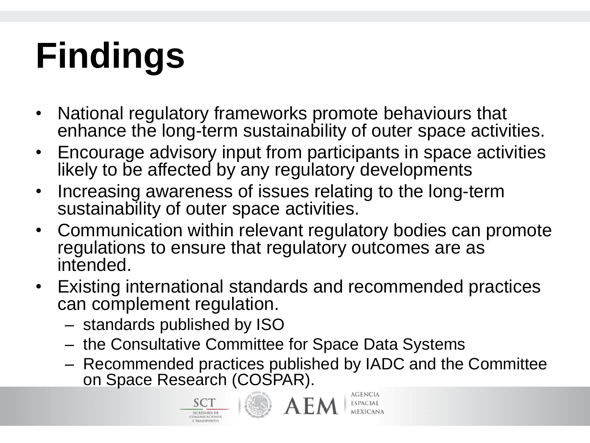- National regulatory frameworks promote behaviours that enhance the long-term sustainability of outer space activities.
- Encourage advisory input from participants in space activities likely to be affected by any regulatory developments
- Increasing awareness of issues relating to the long-term sustainability of outer space activities.
- Communication within relevant regulatory bodies can promote regulations to ensure that regulatory outcomes are as intended.
- Existing international standards and recommended practices can complement regulation.
	- standards published by ISO
	- the Consultative Committee for Space Data Systems
	- Recommended practices published by IADC and the Committee on Space Research (COSPAR).





**AGENCIA ESPACIAL**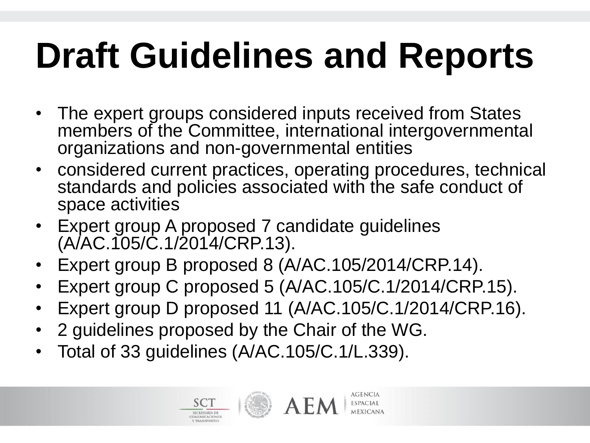#### **Draft Guidelines and Reports**

- The expert groups considered inputs received from States members of the Committee, international intergovernmental organizations and non-governmental entities
- considered current practices, operating procedures, technical standards and policies associated with the safe conduct of space activities
- Expert group A proposed 7 candidate guidelines (A/AC.105/C.1/2014/CRP.13).
- Expert group B proposed 8 (A/AC.105/2014/CRP.14).
- Expert group C proposed 5 (A/AC.105/C.1/2014/CRP.15).
- Expert group D proposed 11 (A/AC.105/C.1/2014/CRP.16).
- 2 guidelines proposed by the Chair of the WG.
- Total of 33 guidelines (A/AC.105/C.1/L.339).



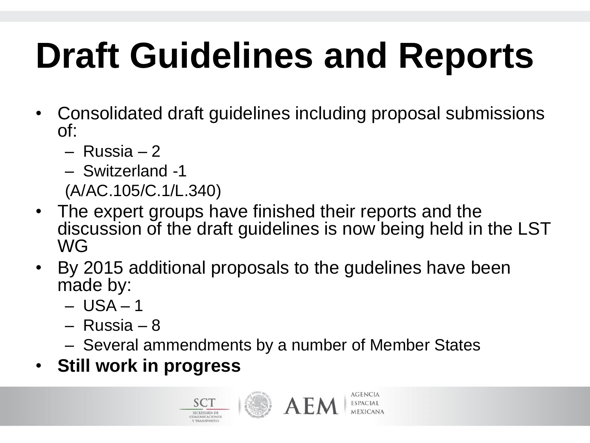#### **Draft Guidelines and Reports**

- Consolidated draft guidelines including proposal submissions of:
	- Russia 2
	- Switzerland -1
	- (A/AC.105/C.1/L.340)
- The expert groups have finished their reports and the discussion of the draft guidelines is now being held in the LST WG
- By 2015 additional proposals to the gudelines have been made by:
	- $-$  USA  $-$  1
	- Russia 8
	- Several ammendments by a number of Member States
- **Still work in progress**



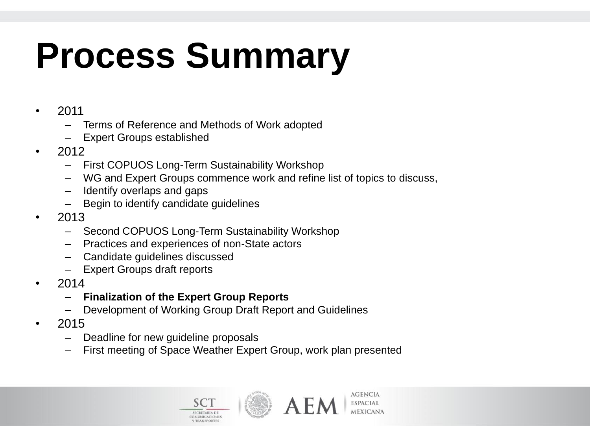#### **Process Summary**

- 2011
	- Terms of Reference and Methods of Work adopted
	- Expert Groups established
- 2012
	- First COPUOS Long-Term Sustainability Workshop
	- WG and Expert Groups commence work and refine list of topics to discuss,
	- Identify overlaps and gaps
	- Begin to identify candidate guidelines
- $\cdot$  2013
	- Second COPUOS Long-Term Sustainability Workshop
	- Practices and experiences of non-State actors
	- Candidate guidelines discussed
	- Expert Groups draft reports
- 2014
	- **Finalization of the Expert Group Reports**
	- Development of Working Group Draft Report and Guidelines
- 2015
	- Deadline for new guideline proposals
	- First meeting of Space Weather Expert Group, work plan presented





**AGENCIA** 

**ESPACIAL**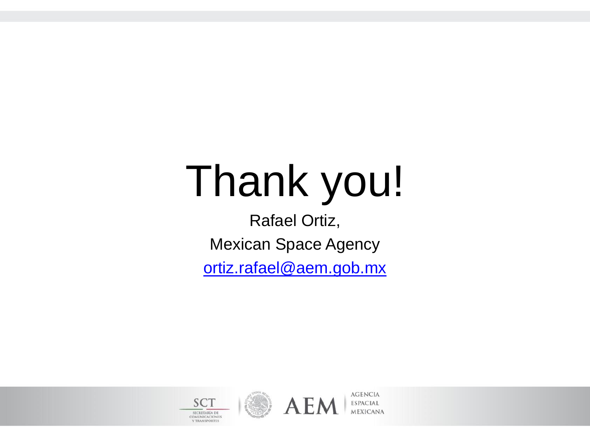## Thank you!

Rafael Ortiz, Mexican Space Agency

[ortiz.rafael@aem.gob.mx](mailto:ortiz.rafael@aem.gob.mx)